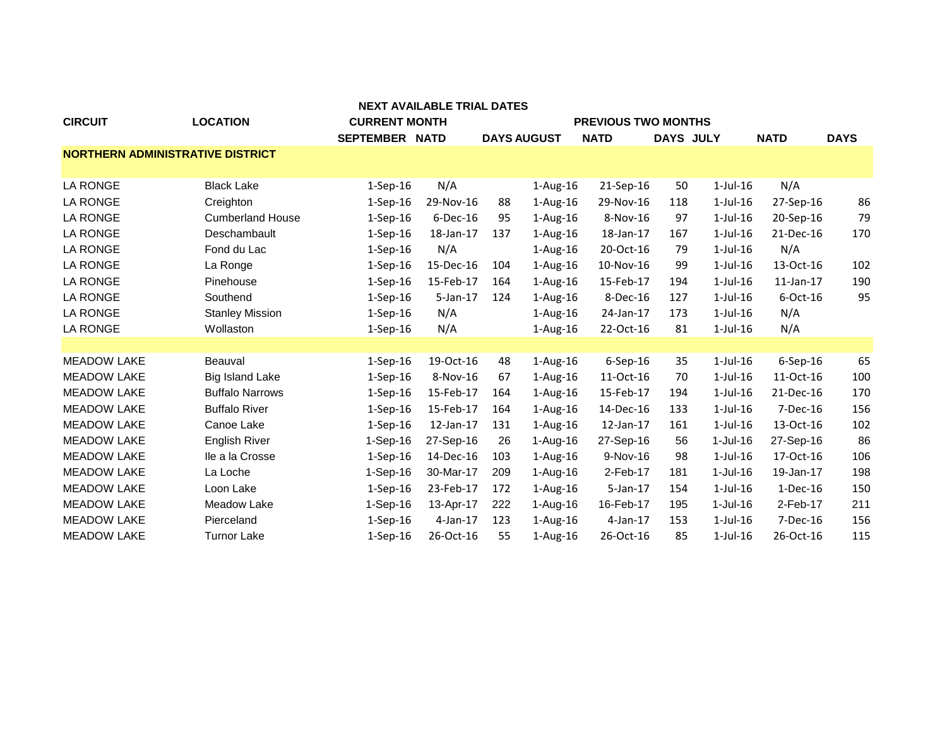| <b>CIRCUIT</b>                          | <b>LOCATION</b>         | <b>CURRENT MONTH</b> |             |     |                    | <b>PREVIOUS TWO MONTHS</b> |                  |                |                 |             |
|-----------------------------------------|-------------------------|----------------------|-------------|-----|--------------------|----------------------------|------------------|----------------|-----------------|-------------|
|                                         |                         | SEPTEMBER NATD       |             |     | <b>DAYS AUGUST</b> | <b>NATD</b>                | <b>DAYS JULY</b> |                | <b>NATD</b>     | <b>DAYS</b> |
| <b>NORTHERN ADMINISTRATIVE DISTRICT</b> |                         |                      |             |     |                    |                            |                  |                |                 |             |
|                                         |                         |                      |             |     |                    |                            |                  |                |                 |             |
| <b>LA RONGE</b>                         | <b>Black Lake</b>       | $1-Sep-16$           | N/A         |     | $1-Aug-16$         | 21-Sep-16                  | 50               | $1$ -Jul-16    | N/A             |             |
| <b>LA RONGE</b>                         | Creighton               | $1-Sep-16$           | 29-Nov-16   | 88  | $1-Aug-16$         | 29-Nov-16                  | 118              | $1$ -Jul- $16$ | 27-Sep-16       | 86          |
| <b>LA RONGE</b>                         | <b>Cumberland House</b> | $1-Sep-16$           | $6$ -Dec-16 | 95  | $1-Aug-16$         | 8-Nov-16                   | 97               | $1$ -Jul- $16$ | 20-Sep-16       | 79          |
| <b>LA RONGE</b>                         | Deschambault            | $1-Sep-16$           | 18-Jan-17   | 137 | $1-Aug-16$         | 18-Jan-17                  | 167              | $1$ -Jul- $16$ | 21-Dec-16       | 170         |
| <b>LA RONGE</b>                         | Fond du Lac             | $1-Sep-16$           | N/A         |     | $1-Aug-16$         | 20-Oct-16                  | 79               | $1$ -Jul- $16$ | N/A             |             |
| <b>LA RONGE</b>                         | La Ronge                | $1-Sep-16$           | 15-Dec-16   | 104 | $1-Aug-16$         | 10-Nov-16                  | 99               | $1$ -Jul-16    | 13-Oct-16       | 102         |
| <b>LA RONGE</b>                         | Pinehouse               | $1-Sep-16$           | 15-Feb-17   | 164 | $1-Aug-16$         | 15-Feb-17                  | 194              | $1$ -Jul- $16$ | $11$ -Jan- $17$ | 190         |
| <b>LA RONGE</b>                         | Southend                | $1-Sep-16$           | 5-Jan-17    | 124 | $1-Aug-16$         | 8-Dec-16                   | 127              | $1$ -Jul- $16$ | $6$ -Oct-16     | 95          |
| <b>LA RONGE</b>                         | <b>Stanley Mission</b>  | $1-Sep-16$           | N/A         |     | $1-Aug-16$         | 24-Jan-17                  | 173              | $1$ -Jul- $16$ | N/A             |             |
| LA RONGE                                | Wollaston               | $1-Sep-16$           | N/A         |     | $1-Aug-16$         | 22-Oct-16                  | 81               | $1$ -Jul-16    | N/A             |             |
|                                         |                         |                      |             |     |                    |                            |                  |                |                 |             |
| <b>MEADOW LAKE</b>                      | Beauval                 | $1-Sep-16$           | 19-Oct-16   | 48  | $1-Aug-16$         | $6-$ Sep $-16$             | 35               | $1$ -Jul- $16$ | $6-$ Sep $-16$  | 65          |
| <b>MEADOW LAKE</b>                      | <b>Big Island Lake</b>  | $1-Sep-16$           | 8-Nov-16    | 67  | $1-Aug-16$         | 11-Oct-16                  | 70               | $1$ -Jul- $16$ | 11-Oct-16       | 100         |
| <b>MEADOW LAKE</b>                      | <b>Buffalo Narrows</b>  | $1-Sep-16$           | 15-Feb-17   | 164 | $1-Aug-16$         | 15-Feb-17                  | 194              | $1$ -Jul- $16$ | 21-Dec-16       | 170         |
| <b>MEADOW LAKE</b>                      | <b>Buffalo River</b>    | $1-Sep-16$           | 15-Feb-17   | 164 | $1$ -Aug- $16$     | 14-Dec-16                  | 133              | $1$ -Jul-16    | 7-Dec-16        | 156         |
| <b>MEADOW LAKE</b>                      | Canoe Lake              | $1-Sep-16$           | 12-Jan-17   | 131 | $1-Aug-16$         | 12-Jan-17                  | 161              | $1$ -Jul-16    | 13-Oct-16       | 102         |
| <b>MEADOW LAKE</b>                      | <b>English River</b>    | $1-Sep-16$           | 27-Sep-16   | 26  | $1-Aug-16$         | 27-Sep-16                  | 56               | $1-Jul-16$     | 27-Sep-16       | 86          |
| <b>MEADOW LAKE</b>                      | Ile a la Crosse         | $1-Sep-16$           | 14-Dec-16   | 103 | $1-Aug-16$         | 9-Nov-16                   | 98               | $1$ -Jul- $16$ | 17-Oct-16       | 106         |
| <b>MEADOW LAKE</b>                      | La Loche                | $1-Sep-16$           | 30-Mar-17   | 209 | 1-Aug-16           | 2-Feb-17                   | 181              | $1-Jul-16$     | 19-Jan-17       | 198         |
| <b>MEADOW LAKE</b>                      | Loon Lake               | $1-Sep-16$           | 23-Feb-17   | 172 | $1-Aug-16$         | $5$ -Jan-17                | 154              | $1$ -Jul-16    | $1-Dec-16$      | 150         |
| <b>MEADOW LAKE</b>                      | Meadow Lake             | $1-Sep-16$           | 13-Apr-17   | 222 | 1-Aug-16           | 16-Feb-17                  | 195              | $1-Jul-16$     | 2-Feb-17        | 211         |
| <b>MEADOW LAKE</b>                      | Pierceland              | $1-Sep-16$           | $4$ -Jan-17 | 123 | $1-Aug-16$         | $4$ -Jan-17                | 153              | $1$ -Jul- $16$ | 7-Dec-16        | 156         |
| <b>MEADOW LAKE</b>                      | <b>Turnor Lake</b>      | $1-Sep-16$           | 26-Oct-16   | 55  | $1-Aug-16$         | 26-Oct-16                  | 85               | $1$ -Jul- $16$ | 26-Oct-16       | 115         |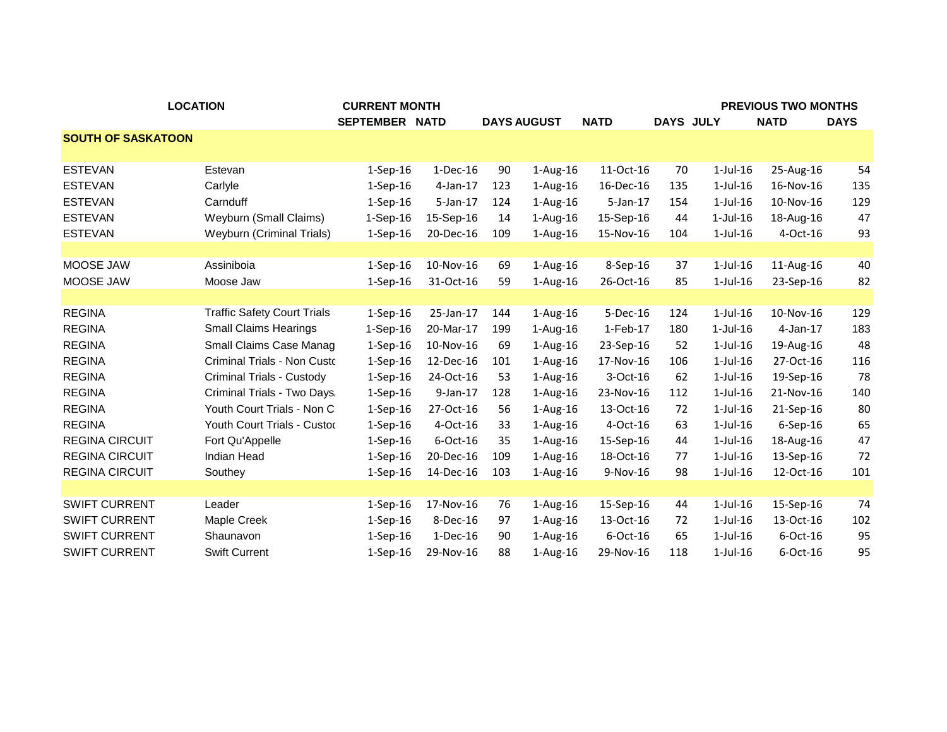|                           | <b>LOCATION</b>                    | <b>CURRENT MONTH</b> |             |     |                    |             |                  |                | <b>PREVIOUS TWO MONTHS</b> |             |
|---------------------------|------------------------------------|----------------------|-------------|-----|--------------------|-------------|------------------|----------------|----------------------------|-------------|
|                           |                                    | SEPTEMBER NATD       |             |     | <b>DAYS AUGUST</b> | <b>NATD</b> | <b>DAYS JULY</b> |                | <b>NATD</b>                | <b>DAYS</b> |
| <b>SOUTH OF SASKATOON</b> |                                    |                      |             |     |                    |             |                  |                |                            |             |
| <b>ESTEVAN</b>            | Estevan                            | $1-Sep-16$           | $1-Dec-16$  | 90  | $1-Aug-16$         | 11-Oct-16   | 70               | $1$ -Jul- $16$ | 25-Aug-16                  | 54          |
| <b>ESTEVAN</b>            | Carlyle                            | $1-Sep-16$           | $4$ -Jan-17 | 123 | $1-Aug-16$         | 16-Dec-16   | 135              | $1$ -Jul- $16$ | 16-Nov-16                  | 135         |
| <b>ESTEVAN</b>            | Carnduff                           | $1-Sep-16$           | $5$ -Jan-17 | 124 | $1-Aug-16$         | 5-Jan-17    | 154              | $1$ -Jul- $16$ | 10-Nov-16                  | 129         |
| <b>ESTEVAN</b>            | Weyburn (Small Claims)             | $1-Sep-16$           | 15-Sep-16   | 14  | 1-Aug-16           | 15-Sep-16   | 44               | $1-Jul-16$     | 18-Aug-16                  | 47          |
| <b>ESTEVAN</b>            | <b>Weyburn (Criminal Trials)</b>   | $1-Sep-16$           | 20-Dec-16   | 109 | $1-Aug-16$         | 15-Nov-16   | 104              | $1$ -Jul- $16$ | 4-Oct-16                   | 93          |
|                           |                                    |                      |             |     |                    |             |                  |                |                            |             |
| MOOSE JAW                 | Assiniboia                         | $1-Sep-16$           | 10-Nov-16   | 69  | $1-Aug-16$         | 8-Sep-16    | 37               | $1$ -Jul- $16$ | 11-Aug-16                  | 40          |
| MOOSE JAW                 | Moose Jaw                          | $1-Sep-16$           | 31-Oct-16   | 59  | $1-Aug-16$         | 26-Oct-16   | 85               | $1$ -Jul- $16$ | 23-Sep-16                  | 82          |
|                           |                                    |                      |             |     |                    |             |                  |                |                            |             |
| <b>REGINA</b>             | <b>Traffic Safety Court Trials</b> | $1-Sep-16$           | 25-Jan-17   | 144 | $1-Aug-16$         | 5-Dec-16    | 124              | $1$ -Jul- $16$ | 10-Nov-16                  | 129         |
| <b>REGINA</b>             | <b>Small Claims Hearings</b>       | $1-Sep-16$           | 20-Mar-17   | 199 | 1-Aug-16           | 1-Feb-17    | 180              | $1-Jul-16$     | 4-Jan-17                   | 183         |
| <b>REGINA</b>             | Small Claims Case Manag            | $1-Sep-16$           | 10-Nov-16   | 69  | $1-Aug-16$         | 23-Sep-16   | 52               | $1$ -Jul- $16$ | 19-Aug-16                  | 48          |
| <b>REGINA</b>             | Criminal Trials - Non Custo        | $1-Sep-16$           | 12-Dec-16   | 101 | 1-Aug-16           | 17-Nov-16   | 106              | $1$ -Jul- $16$ | 27-Oct-16                  | 116         |
| <b>REGINA</b>             | Criminal Trials - Custody          | $1-Sep-16$           | 24-Oct-16   | 53  | $1-Aug-16$         | 3-Oct-16    | 62               | $1$ -Jul- $16$ | 19-Sep-16                  | 78          |
| <b>REGINA</b>             | Criminal Trials - Two Days.        | $1-Sep-16$           | $9$ -Jan-17 | 128 | $1-Aug-16$         | 23-Nov-16   | 112              | $1$ -Jul- $16$ | 21-Nov-16                  | 140         |
| <b>REGINA</b>             | Youth Court Trials - Non C         | $1-Sep-16$           | 27-Oct-16   | 56  | $1-Aug-16$         | 13-Oct-16   | 72               | $1$ -Jul- $16$ | 21-Sep-16                  | 80          |
| <b>REGINA</b>             | Youth Court Trials - Custod        | $1-Sep-16$           | 4-Oct-16    | 33  | 1-Aug-16           | 4-Oct-16    | 63               | $1$ -Jul- $16$ | 6-Sep-16                   | 65          |
| <b>REGINA CIRCUIT</b>     | Fort Qu'Appelle                    | $1-$ Sep $-16$       | 6-Oct-16    | 35  | $1-Aug-16$         | 15-Sep-16   | 44               | $1$ -Jul- $16$ | 18-Aug-16                  | 47          |
| <b>REGINA CIRCUIT</b>     | Indian Head                        | $1-Sep-16$           | 20-Dec-16   | 109 | $1-Aug-16$         | 18-Oct-16   | 77               | $1$ -Jul- $16$ | 13-Sep-16                  | 72          |
| <b>REGINA CIRCUIT</b>     | Southey                            | $1-Sep-16$           | 14-Dec-16   | 103 | $1-Aug-16$         | 9-Nov-16    | 98               | $1$ -Jul- $16$ | 12-Oct-16                  | 101         |
|                           |                                    |                      |             |     |                    |             |                  |                |                            |             |
| <b>SWIFT CURRENT</b>      | Leader                             | $1-Sep-16$           | 17-Nov-16   | 76  | $1-Aug-16$         | 15-Sep-16   | 44               | $1$ -Jul- $16$ | 15-Sep-16                  | 74          |
| <b>SWIFT CURRENT</b>      | Maple Creek                        | $1-Sep-16$           | 8-Dec-16    | 97  | $1-Aug-16$         | 13-Oct-16   | 72               | $1$ -Jul- $16$ | 13-Oct-16                  | 102         |
| <b>SWIFT CURRENT</b>      | Shaunavon                          | $1-Sep-16$           | 1-Dec-16    | 90  | $1-Aug-16$         | 6-Oct-16    | 65               | $1$ -Jul- $16$ | 6-Oct-16                   | 95          |
| <b>SWIFT CURRENT</b>      | <b>Swift Current</b>               | $1-Sep-16$           | 29-Nov-16   | 88  | $1-Aug-16$         | 29-Nov-16   | 118              | $1$ -Jul- $16$ | 6-Oct-16                   | 95          |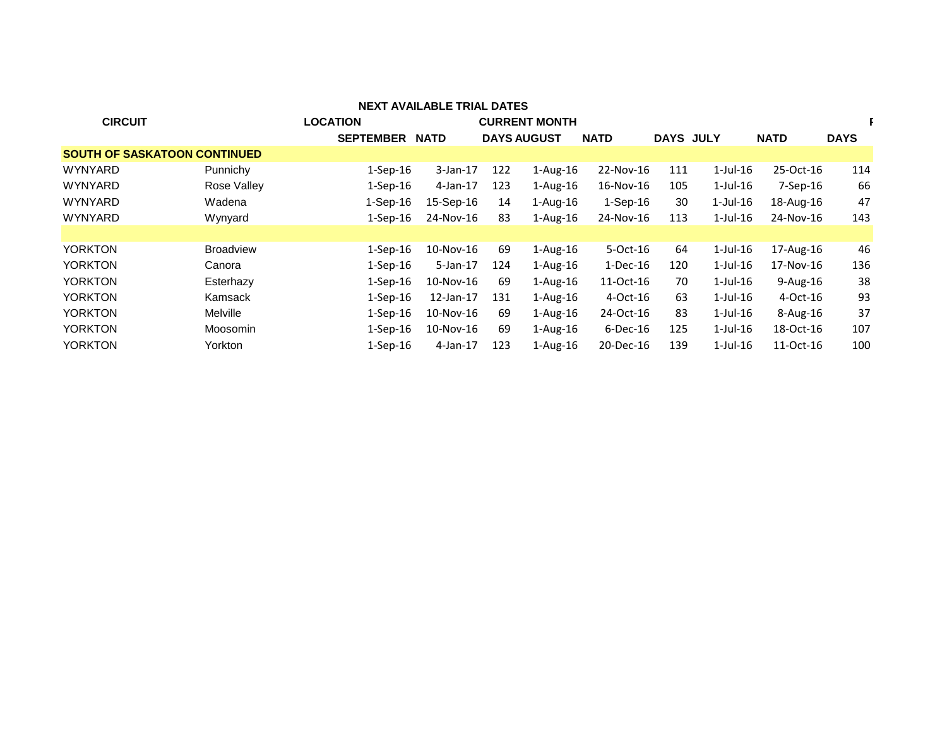| <b>NEXT AVAILABLE TRIAL DATES</b>   |                  |                  |             |                    |                      |             |                  |                |              |             |
|-------------------------------------|------------------|------------------|-------------|--------------------|----------------------|-------------|------------------|----------------|--------------|-------------|
| <b>CIRCUIT</b>                      |                  | <b>LOCATION</b>  |             |                    | <b>CURRENT MONTH</b> |             |                  |                |              |             |
|                                     |                  | <b>SEPTEMBER</b> | <b>NATD</b> | <b>DAYS AUGUST</b> |                      | <b>NATD</b> | <b>DAYS JULY</b> |                | <b>NATD</b>  | <b>DAYS</b> |
| <b>SOUTH OF SASKATOON CONTINUED</b> |                  |                  |             |                    |                      |             |                  |                |              |             |
| WYNYARD                             | Punnichy         | $1-Sep-16$       | $3$ -Jan-17 | 122                | $1-Aug-16$           | 22-Nov-16   | 111              | $1$ -Jul- $16$ | 25-Oct-16    | 114         |
| <b>WYNYARD</b>                      | Rose Valley      | $1-Sep-16$       | 4-Jan-17    | 123                | $1-Aug-16$           | 16-Nov-16   | 105              | $1$ -Jul- $16$ | 7-Sep-16     | 66          |
| <b>WYNYARD</b>                      | Wadena           | 1-Sep-16         | 15-Sep-16   | 14                 | 1-Aug-16             | 1-Sep-16    | 30               | $1$ -Jul-16    | 18-Aug-16    | 47          |
| WYNYARD                             | Wynyard          | $1-Sep-16$       | 24-Nov-16   | 83                 | $1-Aug-16$           | 24-Nov-16   | 113              | $1$ -Jul- $16$ | 24-Nov-16    | 143         |
|                                     |                  |                  |             |                    |                      |             |                  |                |              |             |
| <b>YORKTON</b>                      | <b>Broadview</b> | $1$ -Sep- $16$   | 10-Nov-16   | 69                 | $1-Aug-16$           | 5-Oct-16    | 64               | $1$ -Jul- $16$ | 17-Aug-16    | 46          |
| YORKTON                             | Canora           | $1-Sep-16$       | $5-Jan-17$  | 124                | $1-Aug-16$           | $1-Dec-16$  | 120              | $1$ -Jul- $16$ | 17-Nov-16    | 136         |
| YORKTON                             | Esterhazy        | $1$ -Sep-16      | 10-Nov-16   | 69                 | $1-Aug-16$           | 11-Oct-16   | 70               | $1$ -Jul- $16$ | $9-Aug-16$   | 38          |
| YORKTON                             | Kamsack          | $1$ -Sep- $16$   | 12-Jan-17   | 131                | $1-Aug-16$           | 4-Oct-16    | 63               | $1$ -Jul- $16$ | 4-Oct-16     | 93          |
| YORKTON                             | <b>Melville</b>  | $1-Sep-16$       | 10-Nov-16   | 69                 | $1-Aug-16$           | 24-Oct-16   | 83               | $1$ -Jul- $16$ | $8 - Aug-16$ | 37          |
| <b>YORKTON</b>                      | Moosomin         | $1-Sep-16$       | 10-Nov-16   | 69                 | $1-Aug-16$           | $6$ -Dec-16 | 125              | $1$ -Jul- $16$ | 18-Oct-16    | 107         |
| YORKTON                             | Yorkton          | $1-Sep-16$       | $4$ -Jan-17 | 123                | $1-Aug-16$           | 20-Dec-16   | 139              | $1$ -Jul- $16$ | 11-Oct-16    | 100         |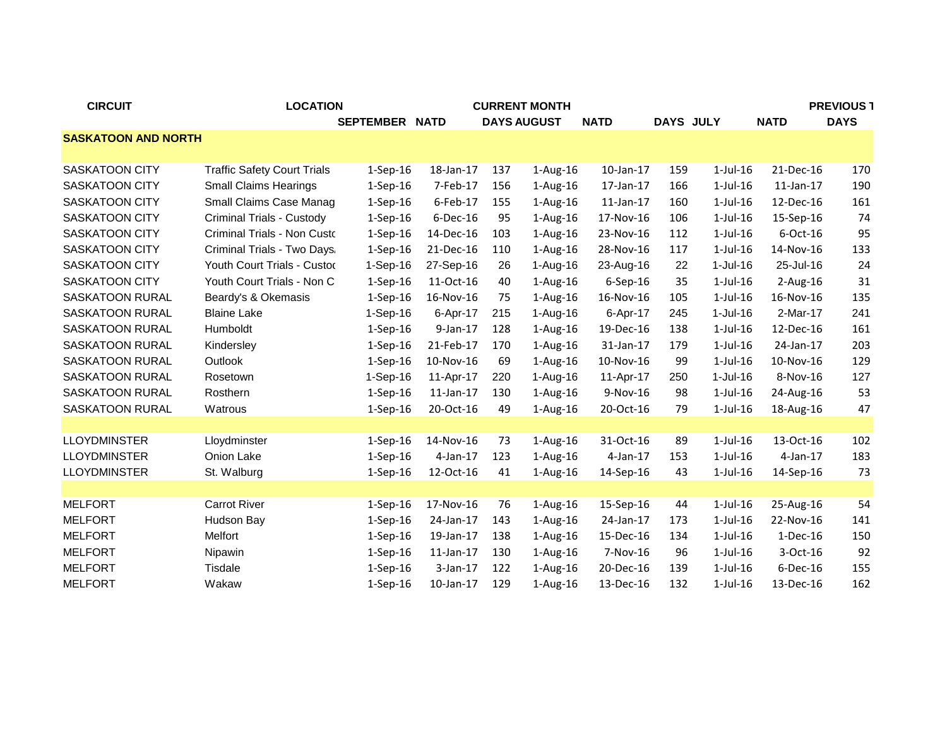| <b>CIRCUIT</b>             | <b>LOCATION</b>                    |                |                 | <b>CURRENT MONTH</b> |                    |                 |                  | <b>PREVIOUS 1</b> |                 |             |
|----------------------------|------------------------------------|----------------|-----------------|----------------------|--------------------|-----------------|------------------|-------------------|-----------------|-------------|
|                            |                                    | SEPTEMBER NATD |                 |                      | <b>DAYS AUGUST</b> | <b>NATD</b>     | <b>DAYS JULY</b> |                   | <b>NATD</b>     | <b>DAYS</b> |
| <b>SASKATOON AND NORTH</b> |                                    |                |                 |                      |                    |                 |                  |                   |                 |             |
|                            |                                    |                |                 |                      |                    |                 |                  |                   |                 |             |
| <b>SASKATOON CITY</b>      | <b>Traffic Safety Court Trials</b> | $1-Sep-16$     | 18-Jan-17       | 137                  | $1-Aug-16$         | 10-Jan-17       | 159              | $1$ -Jul- $16$    | 21-Dec-16       | 170         |
| <b>SASKATOON CITY</b>      | <b>Small Claims Hearings</b>       | $1-Sep-16$     | 7-Feb-17        | 156                  | $1-Aug-16$         | 17-Jan-17       | 166              | $1$ -Jul- $16$    | $11$ -Jan- $17$ | 190         |
| <b>SASKATOON CITY</b>      | Small Claims Case Manag            | $1-Sep-16$     | 6-Feb-17        | 155                  | $1-Aug-16$         | $11$ -Jan- $17$ | 160              | $1$ -Jul- $16$    | 12-Dec-16       | 161         |
| <b>SASKATOON CITY</b>      | <b>Criminal Trials - Custody</b>   | $1-Sep-16$     | $6$ -Dec-16     | 95                   | $1-Aug-16$         | 17-Nov-16       | 106              | $1$ -Jul- $16$    | 15-Sep-16       | 74          |
| <b>SASKATOON CITY</b>      | Criminal Trials - Non Custo        | $1-Sep-16$     | 14-Dec-16       | 103                  | $1-Aug-16$         | 23-Nov-16       | 112              | $1$ -Jul- $16$    | 6-Oct-16        | 95          |
| <b>SASKATOON CITY</b>      | Criminal Trials - Two Days.        | $1-Sep-16$     | 21-Dec-16       | 110                  | $1-Aug-16$         | 28-Nov-16       | 117              | $1$ -Jul- $16$    | 14-Nov-16       | 133         |
| <b>SASKATOON CITY</b>      | Youth Court Trials - Custod        | $1-Sep-16$     | 27-Sep-16       | 26                   | 1-Aug-16           | 23-Aug-16       | 22               | 1-Jul-16          | 25-Jul-16       | 24          |
| <b>SASKATOON CITY</b>      | Youth Court Trials - Non C         | $1-Sep-16$     | 11-Oct-16       | 40                   | 1-Aug-16           | 6-Sep-16        | 35               | $1$ -Jul- $16$    | $2$ -Aug-16     | 31          |
| SASKATOON RURAL            | Beardy's & Okemasis                | $1-Sep-16$     | 16-Nov-16       | 75                   | 1-Aug-16           | 16-Nov-16       | 105              | $1$ -Jul- $16$    | 16-Nov-16       | 135         |
| SASKATOON RURAL            | <b>Blaine Lake</b>                 | $1-Sep-16$     | 6-Apr-17        | 215                  | $1-Aug-16$         | 6-Apr-17        | 245              | $1-Jul-16$        | 2-Mar-17        | 241         |
| <b>SASKATOON RURAL</b>     | Humboldt                           | $1-Sep-16$     | $9$ -Jan-17     | 128                  | 1-Aug-16           | 19-Dec-16       | 138              | $1$ -Jul- $16$    | 12-Dec-16       | 161         |
| <b>SASKATOON RURAL</b>     | Kindersley                         | $1-Sep-16$     | 21-Feb-17       | 170                  | $1-Aug-16$         | 31-Jan-17       | 179              | $1$ -Jul- $16$    | 24-Jan-17       | 203         |
| SASKATOON RURAL            | Outlook                            | $1-Sep-16$     | 10-Nov-16       | 69                   | 1-Aug-16           | 10-Nov-16       | 99               | $1$ -Jul- $16$    | 10-Nov-16       | 129         |
| SASKATOON RURAL            | Rosetown                           | $1-Sep-16$     | 11-Apr-17       | 220                  | 1-Aug-16           | 11-Apr-17       | 250              | $1-Jul-16$        | 8-Nov-16        | 127         |
| SASKATOON RURAL            | Rosthern                           | $1-Sep-16$     | $11$ -Jan- $17$ | 130                  | 1-Aug-16           | 9-Nov-16        | 98               | $1$ -Jul- $16$    | 24-Aug-16       | 53          |
| SASKATOON RURAL            | Watrous                            | $1-Sep-16$     | 20-Oct-16       | 49                   | $1-Aug-16$         | 20-Oct-16       | 79               | $1$ -Jul- $16$    | 18-Aug-16       | 47          |
|                            |                                    |                |                 |                      |                    |                 |                  |                   |                 |             |
| <b>LLOYDMINSTER</b>        | Lloydminster                       | $1-Sep-16$     | 14-Nov-16       | 73                   | $1-Aug-16$         | 31-Oct-16       | 89               | $1$ -Jul- $16$    | 13-Oct-16       | 102         |
| <b>LLOYDMINSTER</b>        | Onion Lake                         | $1-Sep-16$     | $4$ -Jan-17     | 123                  | $1-Aug-16$         | $4$ -Jan-17     | 153              | $1$ -Jul- $16$    | $4$ -Jan-17     | 183         |
| <b>LLOYDMINSTER</b>        | St. Walburg                        | $1-Sep-16$     | 12-Oct-16       | 41                   | $1-Aug-16$         | 14-Sep-16       | 43               | $1$ -Jul- $16$    | 14-Sep-16       | 73          |
|                            |                                    |                |                 |                      |                    |                 |                  |                   |                 |             |
| <b>MELFORT</b>             | <b>Carrot River</b>                | $1-Sep-16$     | 17-Nov-16       | 76                   | $1-Aug-16$         | 15-Sep-16       | 44               | $1$ -Jul- $16$    | 25-Aug-16       | 54          |
| <b>MELFORT</b>             | Hudson Bay                         | $1-$ Sep $-16$ | 24-Jan-17       | 143                  | $1-Aug-16$         | 24-Jan-17       | 173              | $1$ -Jul- $16$    | 22-Nov-16       | 141         |
| <b>MELFORT</b>             | Melfort                            | $1-Sep-16$     | 19-Jan-17       | 138                  | 1-Aug-16           | 15-Dec-16       | 134              | $1$ -Jul- $16$    | $1-Dec-16$      | 150         |
| <b>MELFORT</b>             | Nipawin                            | $1-Sep-16$     | 11-Jan-17       | 130                  | 1-Aug-16           | 7-Nov-16        | 96               | $1$ -Jul- $16$    | 3-Oct-16        | 92          |
| <b>MELFORT</b>             | Tisdale                            | $1-Sep-16$     | $3-Jan-17$      | 122                  | 1-Aug-16           | 20-Dec-16       | 139              | $1$ -Jul- $16$    | $6$ -Dec-16     | 155         |
| <b>MELFORT</b>             | Wakaw                              | $1-Sep-16$     | 10-Jan-17       | 129                  | $1-Aug-16$         | 13-Dec-16       | 132              | $1$ -Jul- $16$    | 13-Dec-16       | 162         |